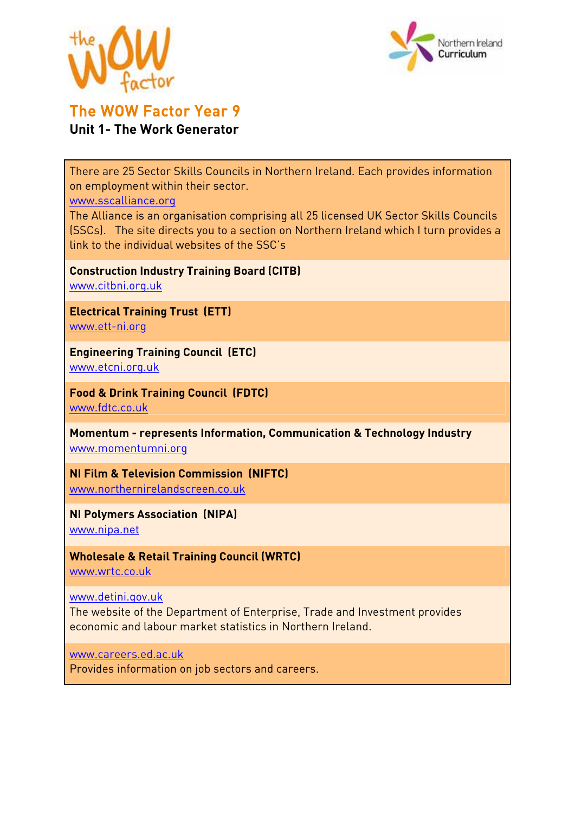



## The WOW Factor Year 9 **Unit 1- The Work Generator**

There are 25 Sector Skills Councils in Northern Ireland. Each provides information on employment within their sector.

www.sscalliance.org

The Alliance is an organisation comprising all 25 licensed UK Sector Skills Councils (SSCs). The site directs you to a section on Northern Ireland which I turn provides a link to the individual websites of the SSC's

**Construction Industry Training Board (CITB)**  www.citbni.org.uk

**Electrical Training Trust (ETT)**  www.ett-ni.org

**Engineering Training Council (ETC)**  www.etcni.org.uk

**Food & Drink Training Council (FDTC)**  www.fdtc.co.uk

**Momentum - represents Information, Communication & Technology Industry**  www.momentumni.org

**NI Film & Television Commission (NIFTC)**  www.northernirelandscreen.co.uk

**NI Polymers Association (NIPA)** 

www.nipa.net

**Wholesale & Retail Training Council (WRTC)** 

www.wrtc.co.uk

www.detini.gov.uk

The website of the Department of Enterprise, Trade and Investment provides economic and labour market statistics in Northern Ireland.

www.careers.ed.ac.uk

Provides information on job sectors and careers.